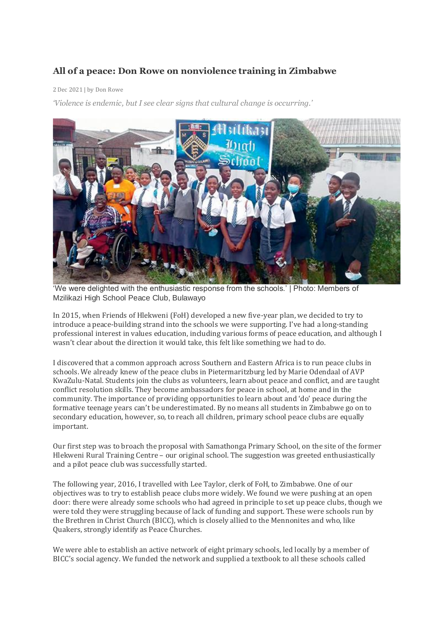## **All of a peace: Don Rowe on nonviolence training in Zimbabwe**

## 2 Dec 2021 | by Don Rowe

*'Violence is endemic, but I see clear signs that cultural change is occurring.'*



'We were delighted with the enthusiastic response from the schools.' | Photo: Members of Mzilikazi High School Peace Club, Bulawayo

In 2015, when Friends of Hlekweni (FoH) developed a new five-year plan, we decided to try to introduce a peace-building strand into the schools we were supporting. I've had a long-standing professional interest in values education, including various forms of peace education, and although I wasn't clear about the direction it would take, this felt like something we had to do.

I discovered that a common approach across Southern and Eastern Africa is to run peace clubs in schools. We already knew of the peace clubs in Pietermaritzburg led by Marie Odendaal of AVP KwaZulu-Natal. Students join the clubs as volunteers, learn about peace and conflict, and are taught conflict resolution skills. They become ambassadors for peace in school, at home and in the community. The importance of providing opportunities to learn about and 'do' peace during the formative teenage years can't be underestimated. By no means all students in Zimbabwe go on to secondary education, however, so, to reach all children, primary school peace clubs are equally important.

Our first step was to broach the proposal with Samathonga Primary School, on the site of the former Hlekweni Rural Training Centre – our original school. The suggestion was greeted enthusiastically and a pilot peace club was successfully started.

The following year, 2016, I travelled with Lee Taylor, clerk of FoH, to Zimbabwe. One of our objectives was to try to establish peace clubs more widely. We found we were pushing at an open door: there were already some schools who had agreed in principle to set up peace clubs, though we were told they were struggling because of lack of funding and support. These were schools run by the Brethren in Christ Church (BICC), which is closely allied to the Mennonites and who, like Quakers, strongly identify as Peace Churches.

We were able to establish an active network of eight primary schools, led locally by a member of BICC's social agency. We funded the network and supplied a textbook to all these schools called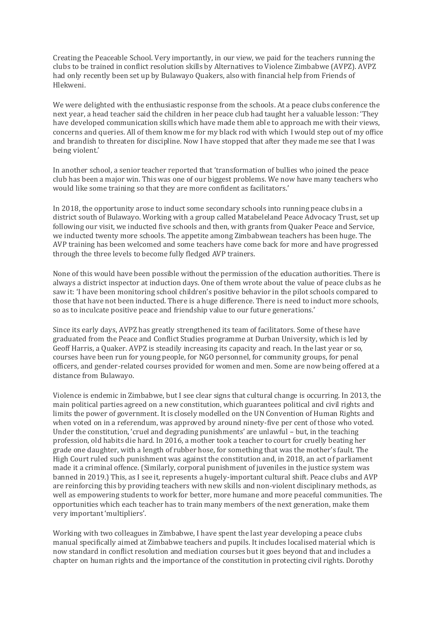Creating the Peaceable School. Very importantly, in our view, we paid for the teachers running the clubs to be trained in conflict resolution skills by Alternatives to Violence Zimbabwe (AVPZ). AVPZ had only recently been set up by Bulawayo Quakers, also with financial help from Friends of Hlekweni.

We were delighted with the enthusiastic response from the schools. At a peace clubs conference the next year, a head teacher said the children in her peace club had taught her a valuable lesson: 'They have developed communication skills which have made them able to approach me with their views, concerns and queries. All of them know me for my black rod with which I would step out of my office and brandish to threaten for discipline. Now I have stopped that after they made me see that I was being violent.'

In another school, a senior teacher reported that 'transformation of bullies who joined the peace club has been a major win. This was one of our biggest problems. We now have many teachers who would like some training so that they are more confident as facilitators.'

In 2018, the opportunity arose to induct some secondary schools into running peace clubs in a district south of Bulawayo. Working with a group called Matabeleland Peace Advocacy Trust, set up following our visit, we inducted five schools and then, with grants from Quaker Peace and Service, we inducted twenty more schools. The appetite among Zimbabwean teachers has been huge. The AVP training has been welcomed and some teachers have come back for more and have progressed through the three levels to become fully fledged AVP trainers.

None of this would have been possible without the permission of the education authorities. There is always a district inspector at induction days. One of them wrote about the value of peace clubs as he saw it: 'I have been monitoring school children's positive behavior in the pilot schools compared to those that have not been inducted. There is a huge difference. There is need to induct more schools, so as to inculcate positive peace and friendship value to our future generations.'

Since its early days, AVPZ has greatly strengthened its team of facilitators. Some of these have graduated from the Peace and Conflict Studies programme at Durban University, which is led by Geoff Harris, a Quaker. AVPZ is steadily increasing its capacity and reach. In the last year or so, courses have been run for young people, for NGO personnel, for community groups, for penal officers, and gender-related courses provided for women and men. Some are now being offered at a distance from Bulawayo.

Violence is endemic in Zimbabwe, but I see clear signs that cultural change is occurring. In 2013, the main political parties agreed on a new constitution, which guarantees political and civil rights and limits the power of government. It is closely modelled on the UN Convention of Human Rights and when voted on in a referendum, was approved by around ninety-five per cent of those who voted. Under the constitution, 'cruel and degrading punishments' are unlawful – but, in the teaching profession, old habits die hard. In 2016, a mother took a teacher to court for cruelly beating her grade one daughter, with a length of rubber hose, for something that was the mother's fault. The High Court ruled such punishment was against the constitution and, in 2018, an act of parliament made it a criminal offence. (Similarly, corporal punishment of juveniles in the justice system was banned in 2019.) This, as I see it, represents a hugely-important cultural shift. Peace clubs and AVP are reinforcing this by providing teachers with new skills and non-violent disciplinary methods, as well as empowering students to work for better, more humane and more peaceful communities. The opportunities which each teacher has to train many members of the next generation, make them very important 'multipliers'.

Working with two colleagues in Zimbabwe, I have spent the last year developing a peace clubs manual specifically aimed at Zimbabwe teachers and pupils. It includes localised material which is now standard in conflict resolution and mediation courses but it goes beyond that and includes a chapter on human rights and the importance of the constitution in protecting civil rights. Dorothy